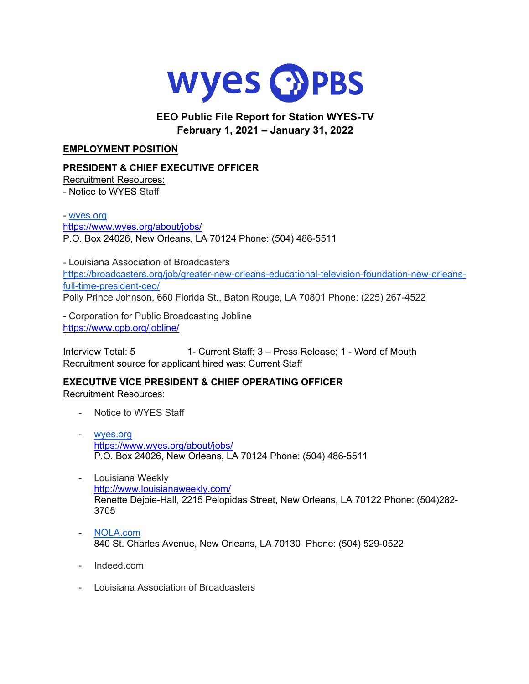

## **EEO Public File Report for Station WYES-TV February 1, 2021 – January 31, 2022**

#### **EMPLOYMENT POSITION**

#### **PRESIDENT & CHIEF EXECUTIVE OFFICER**

Recruitment Resources: - Notice to WYES Staff

- wyes.org

https://www.wyes.org/about/jobs/

P.O. Box 24026, New Orleans, LA 70124 Phone: (504) 486-5511

- Louisiana Association of Broadcasters https://broadcasters.org/job/greater-new-orleans-educational-television-foundation-new-orleansfull-time-president-ceo/ Polly Prince Johnson, 660 Florida St., Baton Rouge, LA 70801 Phone: (225) 267-4522

- Corporation for Public Broadcasting Jobline https://www.cpb.org/jobline/

Interview Total: 5 1- Current Staff; 3 – Press Release; 1 - Word of Mouth Recruitment source for applicant hired was: Current Staff

**EXECUTIVE VICE PRESIDENT & CHIEF OPERATING OFFICER** Recruitment Resources:

- Notice to WYES Staff
- wyes.org https://www.wyes.org/about/jobs/ P.O. Box 24026, New Orleans, LA 70124 Phone: (504) 486-5511
- Louisiana Weekly http://www.louisianaweekly.com/ Renette Dejoie-Hall**,** 2215 Pelopidas Street, New Orleans, LA 70122 Phone: (504)282- 3705
- NOLA.com 840 St. Charles Avenue, New Orleans, LA 70130 Phone: (504) 529-0522
- Indeed.com
- Louisiana Association of Broadcasters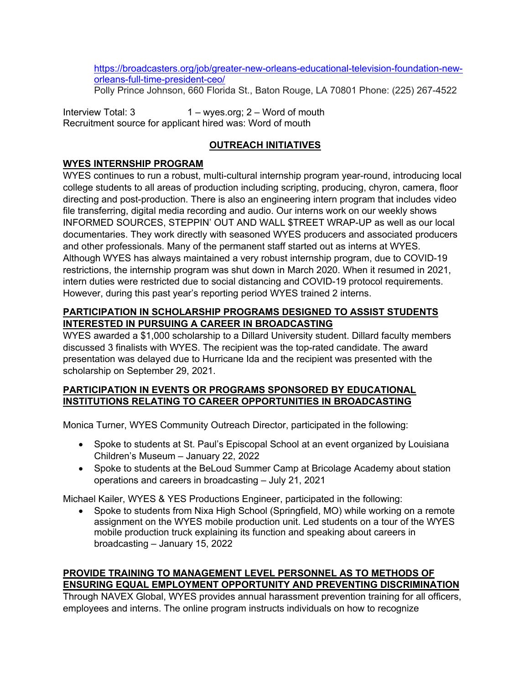https://broadcasters.org/job/greater-new-orleans-educational-television-foundation-neworleans-full-time-president-ceo/

Polly Prince Johnson, 660 Florida St., Baton Rouge, LA 70801 Phone: (225) 267-4522

Interview Total: 3 1 – wyes.org; 2 – Word of mouth Recruitment source for applicant hired was: Word of mouth

# **OUTREACH INITIATIVES**

### **WYES INTERNSHIP PROGRAM**

WYES continues to run a robust, multi-cultural internship program year-round, introducing local college students to all areas of production including scripting, producing, chyron, camera, floor directing and post-production. There is also an engineering intern program that includes video file transferring, digital media recording and audio. Our interns work on our weekly shows INFORMED SOURCES, STEPPIN' OUT AND WALL \$TREET WRAP-UP as well as our local documentaries. They work directly with seasoned WYES producers and associated producers and other professionals. Many of the permanent staff started out as interns at WYES. Although WYES has always maintained a very robust internship program, due to COVID-19 restrictions, the internship program was shut down in March 2020. When it resumed in 2021, intern duties were restricted due to social distancing and COVID-19 protocol requirements. However, during this past year's reporting period WYES trained 2 interns.

### **PARTICIPATION IN SCHOLARSHIP PROGRAMS DESIGNED TO ASSIST STUDENTS INTERESTED IN PURSUING A CAREER IN BROADCASTING**

WYES awarded a \$1,000 scholarship to a Dillard University student. Dillard faculty members discussed 3 finalists with WYES. The recipient was the top-rated candidate. The award presentation was delayed due to Hurricane Ida and the recipient was presented with the scholarship on September 29, 2021.

#### **PARTICIPATION IN EVENTS OR PROGRAMS SPONSORED BY EDUCATIONAL INSTITUTIONS RELATING TO CAREER OPPORTUNITIES IN BROADCASTING**

Monica Turner, WYES Community Outreach Director, participated in the following:

- Spoke to students at St. Paul's Episcopal School at an event organized by Louisiana Children's Museum – January 22, 2022
- Spoke to students at the BeLoud Summer Camp at Bricolage Academy about station operations and careers in broadcasting – July 21, 2021

Michael Kailer, WYES & YES Productions Engineer, participated in the following:

• Spoke to students from Nixa High School (Springfield, MO) while working on a remote assignment on the WYES mobile production unit. Led students on a tour of the WYES mobile production truck explaining its function and speaking about careers in broadcasting – January 15, 2022

# **PROVIDE TRAINING TO MANAGEMENT LEVEL PERSONNEL AS TO METHODS OF ENSURING EQUAL EMPLOYMENT OPPORTUNITY AND PREVENTING DISCRIMINATION**

Through NAVEX Global, WYES provides annual harassment prevention training for all officers, employees and interns. The online program instructs individuals on how to recognize